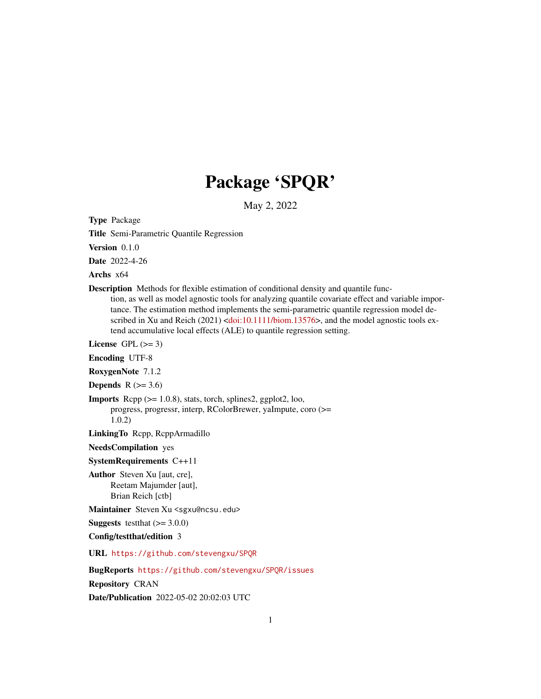# Package 'SPQR'

May 2, 2022

Type Package

Title Semi-Parametric Quantile Regression

Version 0.1.0

Date 2022-4-26

Archs x64

Description Methods for flexible estimation of conditional density and quantile function, as well as model agnostic tools for analyzing quantile covariate effect and variable importance. The estimation method implements the semi-parametric quantile regression model de-scribed in Xu and Reich (2021) [<doi:10.1111/biom.13576>](https://doi.org/10.1111/biom.13576), and the model agnostic tools extend accumulative local effects (ALE) to quantile regression setting.

License GPL  $(>= 3)$ 

Encoding UTF-8

RoxygenNote 7.1.2

Depends  $R$  ( $> = 3.6$ )

**Imports** Rcpp  $(>= 1.0.8)$ , stats, torch, splines2, ggplot2, loo, progress, progressr, interp, RColorBrewer, yaImpute, coro (>= 1.0.2)

LinkingTo Rcpp, RcppArmadillo

NeedsCompilation yes

SystemRequirements C++11

Author Steven Xu [aut, cre], Reetam Majumder [aut], Brian Reich [ctb]

Maintainer Steven Xu <sgxu@ncsu.edu>

**Suggests** testthat  $(>= 3.0.0)$ 

Config/testthat/edition 3

URL <https://github.com/stevengxu/SPQR>

BugReports <https://github.com/stevengxu/SPQR/issues> Repository CRAN Date/Publication 2022-05-02 20:02:03 UTC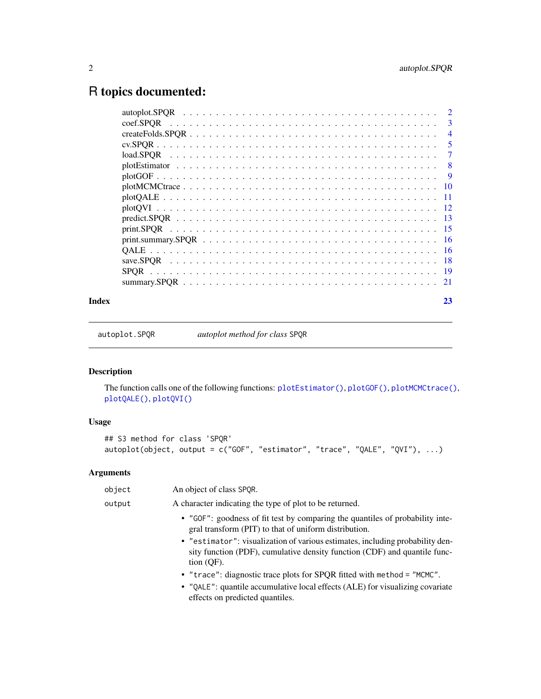# <span id="page-1-0"></span>R topics documented:

| coef.SPOR   | $\mathbf{3}$   |
|-------------|----------------|
|             | $\overline{4}$ |
|             | 5              |
|             | 7              |
|             | -8             |
|             | -9             |
|             |                |
|             | - 11           |
|             |                |
|             | -13            |
|             |                |
|             |                |
|             |                |
|             |                |
| <b>SPOR</b> |                |
|             | -21            |
|             |                |

#### **Index** [23](#page-22-0)

autoplot.SPQR *autoplot method for class* SPQR

# Description

The function calls one of the following functions: [plotEstimator\(\)](#page-7-1), [plotGOF\(\)](#page-8-1), [plotMCMCtrace\(\)](#page-9-1), [plotQALE\(\)](#page-10-1), [plotQVI\(\)](#page-11-1)

# Usage

```
## S3 method for class 'SPQR'
autoplot(object, output = c("GOF", "estimator", "trace", "QALE", "QVI"), ...)
```

| object | An object of class SPQR.                                                                                                                                                 |
|--------|--------------------------------------------------------------------------------------------------------------------------------------------------------------------------|
| output | A character indicating the type of plot to be returned.                                                                                                                  |
|        | • "GOF": goodness of fit test by comparing the quantiles of probability inte-<br>gral transform (PIT) to that of uniform distribution.                                   |
|        | • "estimator": visualization of various estimates, including probability den-<br>sity function (PDF), cumulative density function (CDF) and quantile func-<br>tion (OF). |
|        | • "trace": diagnostic trace plots for SPQR fitted with method = "MCMC".                                                                                                  |
|        | • "QALE": quantile accumulative local effects (ALE) for visualizing covariate<br>effects on predicted quantiles.                                                         |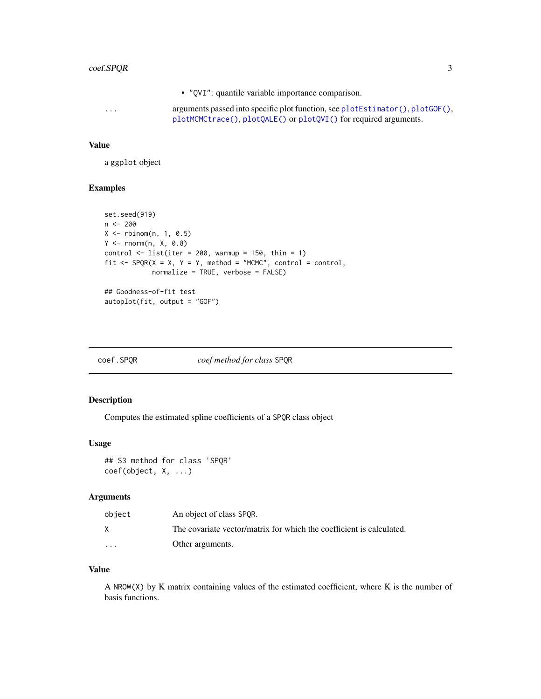### <span id="page-2-0"></span>coef.SPQR 3

• "QVI": quantile variable importance comparison. ... arguments passed into specific plot function, see [plotEstimator\(\)](#page-7-1), [plotGOF\(\)](#page-8-1), [plotMCMCtrace\(\)](#page-9-1), [plotQALE\(\)](#page-10-1) or [plotQVI\(\)](#page-11-1) for required arguments.

#### Value

a ggplot object

#### Examples

```
set.seed(919)
n < -200X \leftarrow \text{rbinom}(n, 1, 0.5)Y \leftarrow \text{rnorm}(n, X, 0.8)control \le list(iter = 200, warmup = 150, thin = 1)
fit \leq SPQR(X = X, Y = Y, method = "MCMC", control = control,
             normalize = TRUE, verbose = FALSE)
## Goodness-of-fit test
autoplot(fit, output = "GOF")
```

| coef.SPQR | coef method for class SPQR |  |
|-----------|----------------------------|--|
|           |                            |  |

# Description

Computes the estimated spline coefficients of a SPQR class object

#### Usage

```
## S3 method for class 'SPQR'
coef(object, X, ...)
```
# Arguments

| object   | An object of class SPOR.                                             |
|----------|----------------------------------------------------------------------|
|          | The covariate vector/matrix for which the coefficient is calculated. |
| $\cdots$ | Other arguments.                                                     |

# Value

A NROW(X) by K matrix containing values of the estimated coefficient, where K is the number of basis functions.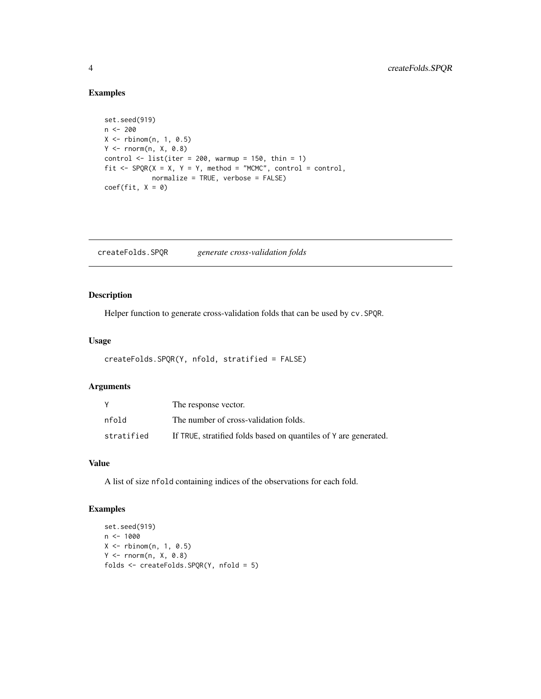# Examples

```
set.seed(919)
n <- 200
X \leftarrow \text{rbinom}(n, 1, 0.5)Y \leq -rnorm(n, X, \varnothing.8)control \le list(iter = 200, warmup = 150, thin = 1)
fit \leq SPQR(X = X, Y = Y, method = "MCMC", control = control,
             normalize = TRUE, verbose = FALSE)
coef(fit, X = 0)
```
<span id="page-3-1"></span>createFolds.SPQR *generate cross-validation folds*

# Description

Helper function to generate cross-validation folds that can be used by cv.SPQR.

# Usage

```
createFolds.SPQR(Y, nfold, stratified = FALSE)
```
#### Arguments

|            | The response vector.                                             |
|------------|------------------------------------------------------------------|
| nfold      | The number of cross-validation folds.                            |
| stratified | If TRUE, stratified folds based on quantiles of Y are generated. |

#### Value

A list of size nfold containing indices of the observations for each fold.

# Examples

```
set.seed(919)
n < -1000X \leftarrow \text{rbinom}(n, 1, 0.5)Y <- rnorm(n, X, 0.8)
folds <- createFolds.SPQR(Y, nfold = 5)
```
<span id="page-3-0"></span>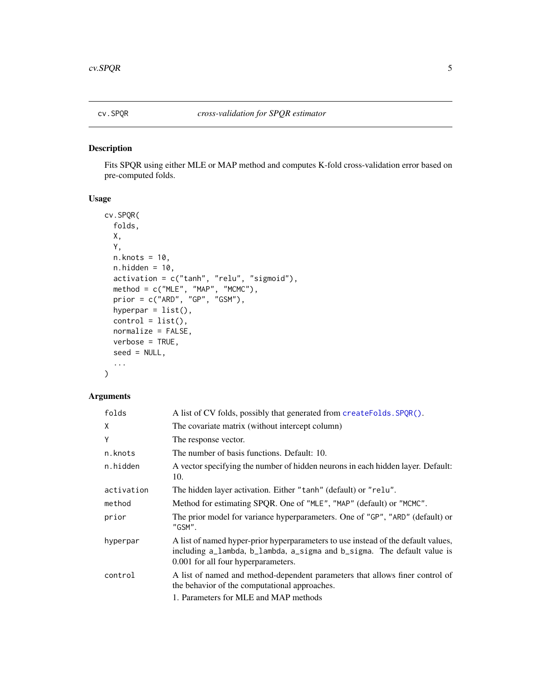<span id="page-4-0"></span>

#### Description

Fits SPQR using either MLE or MAP method and computes K-fold cross-validation error based on pre-computed folds.

# Usage

```
cv.SPQR(
  folds,
 X,
  Y,
 n.knots = 10,
 n.hidden = 10,
 activation = c("tanh", "relu", "sigmoid"),
 method = c("MLE", "MAP", "MCMC"),
 prior = c("ARD", "GP", "GSM"),
 hyperpar = list(),
  control = list(),normalize = FALSE,
 verbose = TRUE,
  seed = NULL,
  ...
)
```

| folds      | A list of CV folds, possibly that generated from createFolds. SPQR().                                                                                                                               |
|------------|-----------------------------------------------------------------------------------------------------------------------------------------------------------------------------------------------------|
| X          | The covariate matrix (without intercept column)                                                                                                                                                     |
| Υ          | The response vector.                                                                                                                                                                                |
| n.knots    | The number of basis functions. Default: 10.                                                                                                                                                         |
| n.hidden   | A vector specifying the number of hidden neurons in each hidden layer. Default:<br>10.                                                                                                              |
| activation | The hidden layer activation. Either "tanh" (default) or "relu".                                                                                                                                     |
| method     | Method for estimating SPQR. One of "MLE", "MAP" (default) or "MCMC".                                                                                                                                |
| prior      | The prior model for variance hyperparameters. One of "GP", "ARD" (default) or<br>"GSM".                                                                                                             |
| hyperpar   | A list of named hyper-prior hyperparameters to use instead of the default values,<br>including a_lambda, b_lambda, a_sigma and b_sigma. The default value is<br>0.001 for all four hyperparameters. |
| control    | A list of named and method-dependent parameters that allows finer control of<br>the behavior of the computational approaches.                                                                       |
|            | 1. Parameters for MLE and MAP methods                                                                                                                                                               |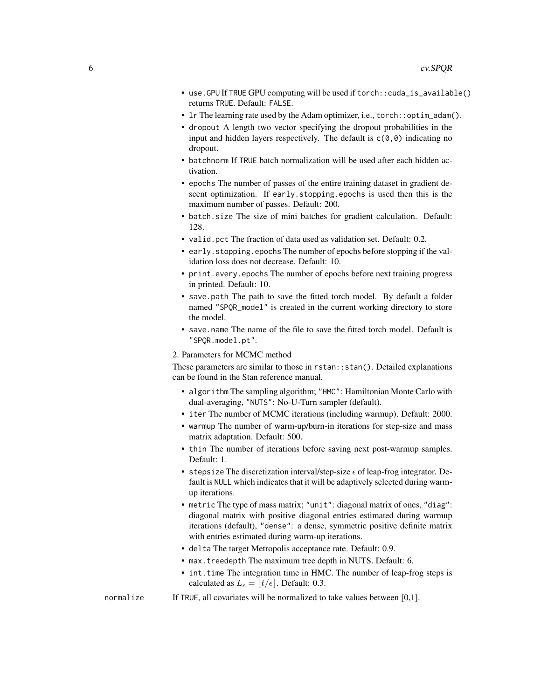- use.GPU If TRUE GPU computing will be used if torch::cuda\_is\_available() returns TRUE. Default: FALSE.
- 1r The learning rate used by the Adam optimizer, i.e., torch:: optim\_adam().
- dropout A length two vector specifying the dropout probabilities in the input and hidden layers respectively. The default is  $c(0,0)$  indicating no dropout.
- batchnorm If TRUE batch normalization will be used after each hidden activation.
- epochs The number of passes of the entire training dataset in gradient descent optimization. If early.stopping.epochs is used then this is the maximum number of passes. Default: 200.
- batch.size The size of mini batches for gradient calculation. Default: 128.
- valid.pct The fraction of data used as validation set. Default: 0.2.
- early.stopping.epochs The number of epochs before stopping if the validation loss does not decrease. Default: 10.
- print.every.epochs The number of epochs before next training progress in printed. Default: 10.
- save.path The path to save the fitted torch model. By default a folder named "SPQR\_model" is created in the current working directory to store the model.
- save.name The name of the file to save the fitted torch model. Default is "SPQR.model.pt".
- 2. Parameters for MCMC method

These parameters are similar to those in rstan::stan(). Detailed explanations can be found in the Stan reference manual.

- algorithm The sampling algorithm; "HMC": Hamiltonian Monte Carlo with dual-averaging, "NUTS": No-U-Turn sampler (default).
- iter The number of MCMC iterations (including warmup). Default: 2000.
- warmup The number of warm-up/burn-in iterations for step-size and mass matrix adaptation. Default: 500.
- thin The number of iterations before saving next post-warmup samples. Default: 1.
- stepsize The discretization interval/step-size  $\epsilon$  of leap-frog integrator. Default is NULL which indicates that it will be adaptively selected during warmup iterations.
- metric The type of mass matrix; "unit": diagonal matrix of ones, "diag": diagonal matrix with positive diagonal entries estimated during warmup iterations (default), "dense": a dense, symmetric positive definite matrix with entries estimated during warm-up iterations.
- delta The target Metropolis acceptance rate. Default: 0.9.
- max.treedepth The maximum tree depth in NUTS. Default: 6.
- int.time The integration time in HMC. The number of leap-frog steps is calculated as  $L_{\epsilon} = |t/\epsilon|$ . Default: 0.3.
- normalize If TRUE, all covariates will be normalized to take values between [0,1].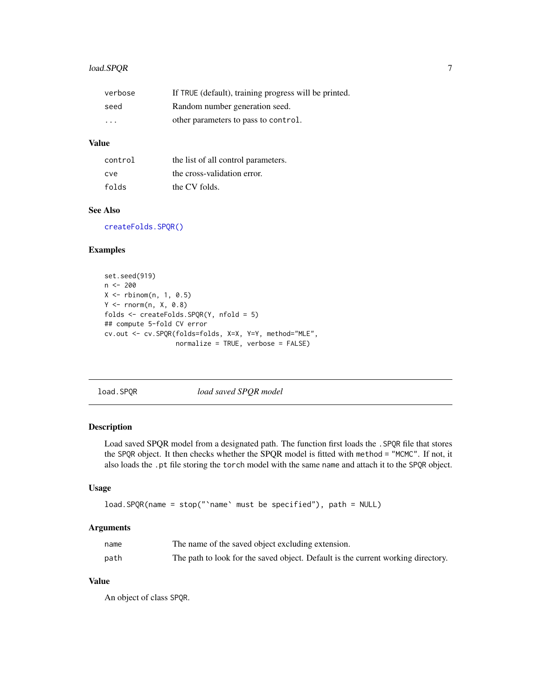# <span id="page-6-0"></span>load.SPQR 7

| verbose                 | If TRUE (default), training progress will be printed. |
|-------------------------|-------------------------------------------------------|
| seed                    | Random number generation seed.                        |
| $\cdot$ $\cdot$ $\cdot$ | other parameters to pass to control.                  |

# Value

| control | the list of all control parameters. |
|---------|-------------------------------------|
| cve     | the cross-validation error.         |
| folds   | the CV folds.                       |

### See Also

[createFolds.SPQR\(\)](#page-3-1)

# Examples

```
set.seed(919)
n <- 200
X \leftarrow \text{rbinom}(n, 1, 0.5)Y \leq -rnorm(n, X, 0.8)folds <- createFolds.SPQR(Y, nfold = 5)
## compute 5-fold CV error
cv.out <- cv.SPQR(folds=folds, X=X, Y=Y, method="MLE",
                   normalize = TRUE, verbose = FALSE)
```
load.SPQR *load saved SPQR model*

# Description

Load saved SPQR model from a designated path. The function first loads the . SPQR file that stores the SPQR object. It then checks whether the SPQR model is fitted with method = "MCMC". If not, it also loads the .pt file storing the torch model with the same name and attach it to the SPQR object.

#### Usage

```
load.SPQR(name = stop("`name` must be specified"), path = NULL)
```
#### Arguments

| name | The name of the saved object excluding extension.                                |
|------|----------------------------------------------------------------------------------|
| path | The path to look for the saved object. Default is the current working directory. |

# Value

An object of class SPQR.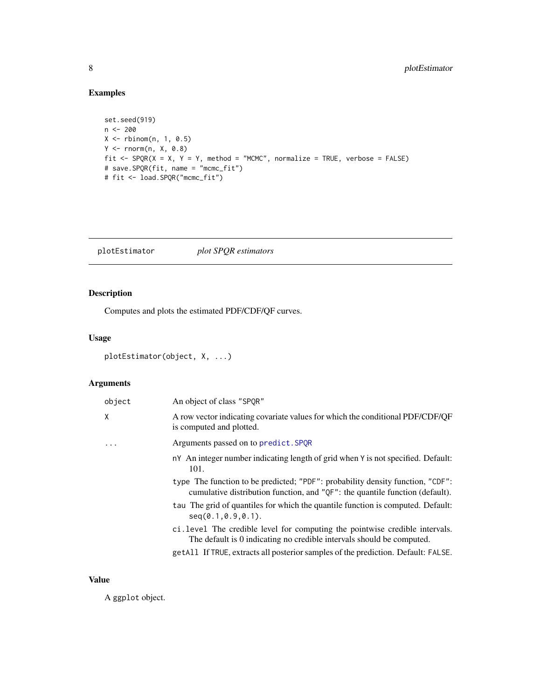# <span id="page-7-0"></span>Examples

```
set.seed(919)
n < - 200X \leftarrow \text{rbinom}(n, 1, 0.5)Y <- rnorm(n, X, 0.8)
fit <- SPQR(X = X, Y = Y, method = "MCMC", normalize = TRUE, verbose = FALSE)
# save.SPQR(fit, name = "mcmc_fit")
# fit <- load.SPQR("mcmc_fit")
```
<span id="page-7-1"></span>plotEstimator *plot SPQR estimators*

# Description

Computes and plots the estimated PDF/CDF/QF curves.

# Usage

```
plotEstimator(object, X, ...)
```
# Arguments

| object   | An object of class "SPOR"                                                                                                                                      |
|----------|----------------------------------------------------------------------------------------------------------------------------------------------------------------|
| χ        | A row vector indicating covariate values for which the conditional PDF/CDF/QF<br>is computed and plotted.                                                      |
| $\ddots$ | Arguments passed on to predict. SPQR                                                                                                                           |
|          | n <sup>Y</sup> An integer number indicating length of grid when Y is not specified. Default:<br>101.                                                           |
|          | type The function to be predicted; "PDF": probability density function, "CDF":<br>cumulative distribution function, and "QF": the quantile function (default). |
|          | tau The grid of quantiles for which the quantile function is computed. Default:<br>$seq(0.1, 0.9, 0.1)$ .                                                      |
|          | ci. level The credible level for computing the pointwise credible intervals.<br>The default is 0 indicating no credible intervals should be computed.          |
|          | getAll If TRUE, extracts all posterior samples of the prediction. Default: FALSE.                                                                              |

# Value

A ggplot object.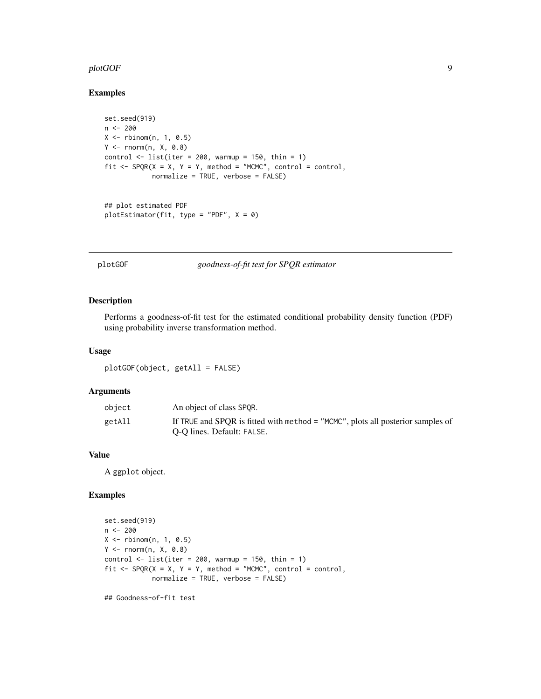#### <span id="page-8-0"></span>plotGOF 9

#### Examples

```
set.seed(919)
n <- 200
X \leftarrow \text{rbinom}(n, 1, 0.5)Y \leq -rnorm(n, X, 0.8)control \le list(iter = 200, warmup = 150, thin = 1)
fit \leq SPQR(X = X, Y = Y, method = "MCMC", control = control,
             normalize = TRUE, verbose = FALSE)
```

```
## plot estimated PDF
plotEstimator(fit, type = "PDF", X = 0)
```
<span id="page-8-1"></span>plotGOF *goodness-of-fit test for SPQR estimator*

# Description

Performs a goodness-of-fit test for the estimated conditional probability density function (PDF) using probability inverse transformation method.

#### Usage

plotGOF(object, getAll = FALSE)

#### Arguments

| obiect | An object of class SPOR.                                                          |
|--------|-----------------------------------------------------------------------------------|
| getAll | If TRUE and SPOR is fitted with method $=$ "MCMC", plots all posterior samples of |
|        | O-O lines. Default: FALSE.                                                        |

### Value

A ggplot object.

# Examples

```
set.seed(919)
n <- 200
X \leftarrow \text{rbinom}(n, 1, 0.5)Y \leq -rnorm(n, X, 0.8)control \le list(iter = 200, warmup = 150, thin = 1)
fit \leq SPQR(X = X, Y = Y, method = "MCMC", control = control,
             normalize = TRUE, verbose = FALSE)
```
## Goodness-of-fit test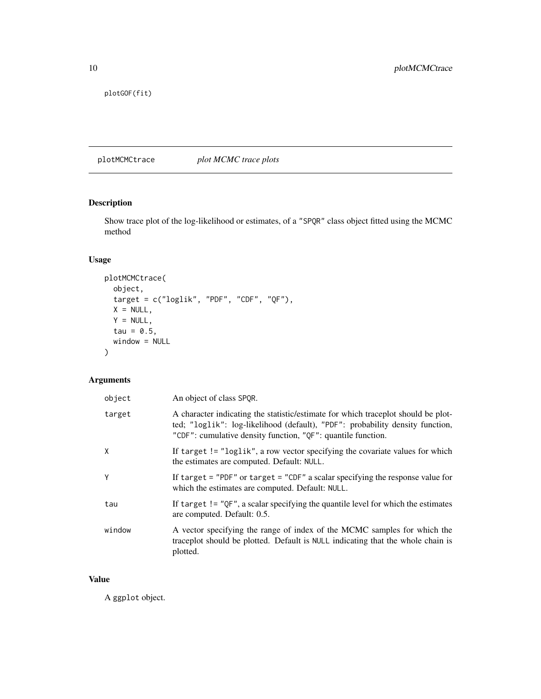<span id="page-9-0"></span>plotGOF(fit)

<span id="page-9-1"></span>plotMCMCtrace *plot MCMC trace plots*

# Description

Show trace plot of the log-likelihood or estimates, of a "SPQR" class object fitted using the MCMC method

# Usage

```
plotMCMCtrace(
 object,
 target = c("loglik", "PDF", "CDF", "QF"),X = NULL,Y = NULL,tau = 0.5,
 window = NULL
)
```
# Arguments

| object | An object of class SPOR.                                                                                                                                                                                                           |
|--------|------------------------------------------------------------------------------------------------------------------------------------------------------------------------------------------------------------------------------------|
| target | A character indicating the statistic/estimate for which traceplot should be plot-<br>ted; "loglik": log-likelihood (default), "PDF": probability density function,<br>"CDF": cumulative density function, "QF": quantile function. |
| X      | If target != "loglik", a row vector specifying the covariate values for which<br>the estimates are computed. Default: NULL.                                                                                                        |
| Y      | If target = "PDF" or target = "CDF" a scalar specifying the response value for<br>which the estimates are computed. Default: NULL.                                                                                                 |
| tau    | If target $!=$ "QF", a scalar specifying the quantile level for which the estimates<br>are computed. Default: 0.5.                                                                                                                 |
| window | A vector specifying the range of index of the MCMC samples for which the<br>traceplot should be plotted. Default is NULL indicating that the whole chain is<br>plotted.                                                            |

#### Value

A ggplot object.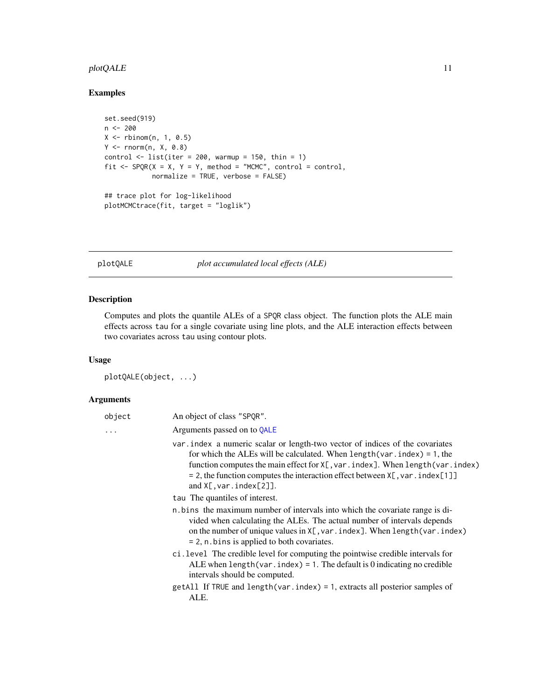# <span id="page-10-0"></span>plotQALE 11

# Examples

```
set.seed(919)
n <- 200
X \leftarrow \text{rbinom}(n, 1, 0.5)Y \leq -rnorm(n, X, 0.8)control \le list(iter = 200, warmup = 150, thin = 1)
fit \leq SPQR(X = X, Y = Y, method = "MCMC", control = control,
             normalize = TRUE, verbose = FALSE)
## trace plot for log-likelihood
plotMCMCtrace(fit, target = "loglik")
```
<span id="page-10-1"></span>plotQALE *plot accumulated local effects (ALE)*

# Description

Computes and plots the quantile ALEs of a SPQR class object. The function plots the ALE main effects across tau for a single covariate using line plots, and the ALE interaction effects between two covariates across tau using contour plots.

# Usage

plotQALE(object, ...)

| object   | An object of class "SPQR".                                                                                                                                                                                                                                                                                                                                                               |
|----------|------------------------------------------------------------------------------------------------------------------------------------------------------------------------------------------------------------------------------------------------------------------------------------------------------------------------------------------------------------------------------------------|
| $\ddots$ | Arguments passed on to QALE                                                                                                                                                                                                                                                                                                                                                              |
|          | var index a numeric scalar or length-two vector of indices of the covariates<br>for which the ALEs will be calculated. When $length(var, index) = 1$ , the<br>function computes the main effect for X[, var. index]. When length (var. index)<br>$= 2$ , the function computes the interaction effect between $X[\, , var \, . \, \text{index}[1]$ ]<br>and $X[, \text{var.index}[2]]$ . |
|          | tau The quantiles of interest.                                                                                                                                                                                                                                                                                                                                                           |
|          | n.bins the maximum number of intervals into which the covariate range is di-<br>vided when calculating the ALEs. The actual number of intervals depends<br>on the number of unique values in $X$ [, var.index]. When length (var.index)<br>$= 2$ , n. bins is applied to both covariates.                                                                                                |
|          | ci.level The credible level for computing the pointwise credible intervals for<br>ALE when $length(var, index) = 1$ . The default is 0 indicating no credible<br>intervals should be computed.                                                                                                                                                                                           |
|          | getAll If TRUE and length (var.index) = 1, extracts all posterior samples of<br>ALE.                                                                                                                                                                                                                                                                                                     |
|          |                                                                                                                                                                                                                                                                                                                                                                                          |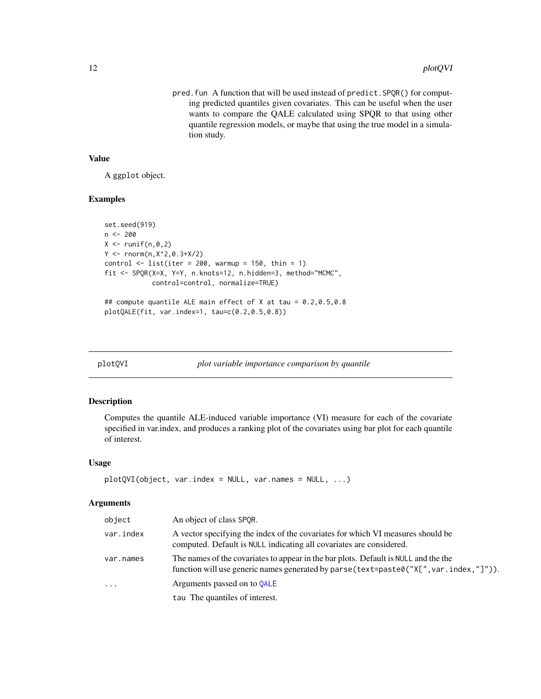<span id="page-11-0"></span>pred.fun A function that will be used instead of predict.SPQR() for computing predicted quantiles given covariates. This can be useful when the user wants to compare the QALE calculated using SPQR to that using other quantile regression models, or maybe that using the true model in a simulation study.

#### Value

A ggplot object.

### Examples

```
set.seed(919)
n <- 200
X \leftarrow runif(n, \emptyset, 2)Y \le - rnorm(n, X^2, 0.3+X/2)
control \le list(iter = 200, warmup = 150, thin = 1)
fit <- SPQR(X=X, Y=Y, n.knots=12, n.hidden=3, method="MCMC",
             control=control, normalize=TRUE)
## compute quantile ALE main effect of X at tau = 0.2,0.5,0.8
```

```
plotQALE(fit, var.index=1, tau=c(0.2,0.5,0.8))
```
<span id="page-11-1"></span>plotQVI *plot variable importance comparison by quantile*

#### Description

Computes the quantile ALE-induced variable importance (VI) measure for each of the covariate specified in var.index, and produces a ranking plot of the covariates using bar plot for each quantile of interest.

#### Usage

```
plotQVI(object, var.index = NULL, var.names = NULL, ...)
```

| object    | An object of class SPQR.                                                                                                                                                      |
|-----------|-------------------------------------------------------------------------------------------------------------------------------------------------------------------------------|
| var.index | A vector specifying the index of the covariates for which VI measures should be<br>computed. Default is NULL indicating all covariates are considered.                        |
| var.names | The names of the covariates to appear in the bar plots. Default is NULL and the the<br>function will use generic names generated by parse (text=paste0("X[", var.index,"]")). |
| $\cdots$  | Arguments passed on to OALE                                                                                                                                                   |
|           | tau The quantiles of interest.                                                                                                                                                |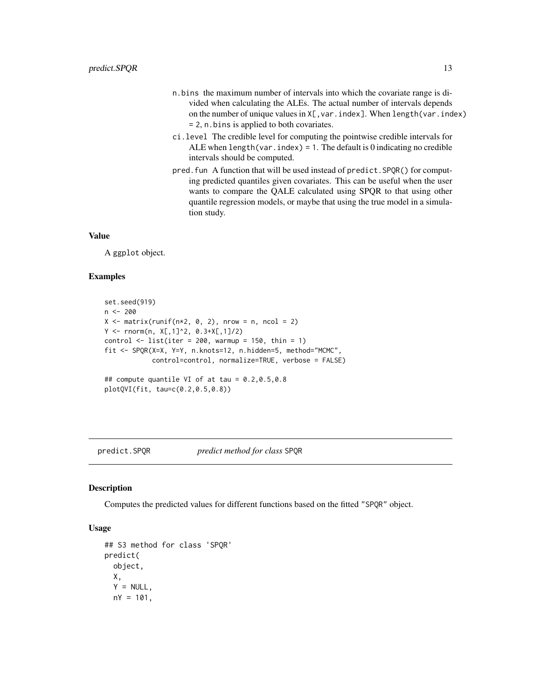- <span id="page-12-0"></span>n.bins the maximum number of intervals into which the covariate range is divided when calculating the ALEs. The actual number of intervals depends on the number of unique values in  $X$ [, var.index]. When length(var.index) = 2, n.bins is applied to both covariates.
- ci.level The credible level for computing the pointwise credible intervals for ALE when  $length(var.index) = 1$ . The default is 0 indicating no credible intervals should be computed.
- pred.fun A function that will be used instead of predict.SPQR() for computing predicted quantiles given covariates. This can be useful when the user wants to compare the QALE calculated using SPQR to that using other quantile regression models, or maybe that using the true model in a simulation study.

#### Value

A ggplot object.

#### Examples

```
set.seed(919)
n <- 200
X \le matrix(runif(n*2, 0, 2), nrow = n, ncol = 2)
Y \le - rnorm(n, X[, 1]^2, 0.3+X[, 1]/2)
control \le list(iter = 200, warmup = 150, thin = 1)
fit <- SPQR(X=X, Y=Y, n.knots=12, n.hidden=5, method="MCMC",
            control=control, normalize=TRUE, verbose = FALSE)
## compute quantile VI of at tau = 0.2,0.5,0.8
plotQVI(fit, tau=c(0.2,0.5,0.8))
```
#### <span id="page-12-1"></span>predict.SPQR *predict method for class* SPQR

#### Description

Computes the predicted values for different functions based on the fitted "SPQR" object.

#### Usage

```
## S3 method for class 'SPQR'
predict(
  object,
 X,
  Y = NULL,
 nY = 101,
```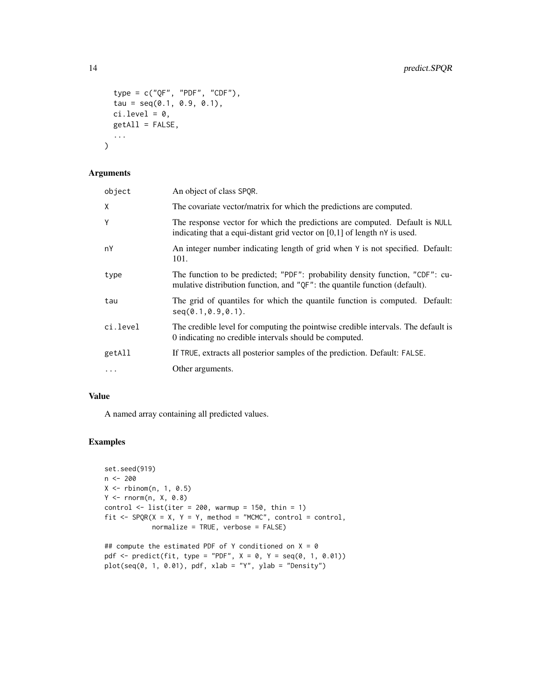```
type = c("QF", "PDF", "CDF"),
  tau = seq(0.1, 0.9, 0.1),ci. level = 0,getAll = FALSE,
  ...
\mathcal{L}
```
# Arguments

| object   | An object of class SPQR.                                                                                                                                    |
|----------|-------------------------------------------------------------------------------------------------------------------------------------------------------------|
| X        | The covariate vector/matrix for which the predictions are computed.                                                                                         |
| Y        | The response vector for which the predictions are computed. Default is NULL<br>indicating that a equi-distant grid vector on $[0,1]$ of length nY is used.  |
| nY       | An integer number indicating length of grid when $Y$ is not specified. Default:<br>101.                                                                     |
| type     | The function to be predicted; "PDF": probability density function, "CDF": cu-<br>mulative distribution function, and "QF": the quantile function (default). |
| tau      | The grid of quantiles for which the quantile function is computed. Default:<br>$seq(0.1, 0.9, 0.1)$ .                                                       |
| ci.level | The credible level for computing the pointwise credible intervals. The default is<br>0 indicating no credible intervals should be computed.                 |
| getAll   | If TRUE, extracts all posterior samples of the prediction. Default: FALSE.                                                                                  |
| $\cdots$ | Other arguments.                                                                                                                                            |

# Value

A named array containing all predicted values.

# Examples

```
set.seed(919)
n <- 200
X \leftarrow \text{rbinom}(n, 1, 0.5)Y \leq -rnorm(n, X, 0.8)control \leq list(iter = 200, warmup = 150, thin = 1)fit \leq SPQR(X = X, Y = Y, method = "MCMC", control = control,
             normalize = TRUE, verbose = FALSE)
```

```
## compute the estimated PDF of Y conditioned on X = 0pdf \leq predict(fit, type = "PDF", X = 0, Y = seq(0, 1, 0.01))plot(seq(0, 1, 0.01), pdf, xlab = "Y", ylab = "Density")
```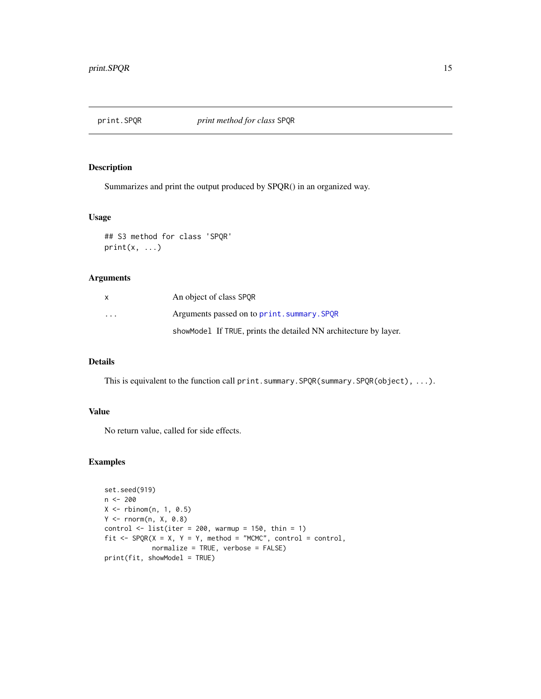<span id="page-14-0"></span>

#### Description

Summarizes and print the output produced by SPQR() in an organized way.

#### Usage

```
## S3 method for class 'SPQR'
print(x, \ldots)
```
# Arguments

| x       | An object of class SPOR                                          |
|---------|------------------------------------------------------------------|
| $\cdot$ | Arguments passed on to print. summary. SPOR                      |
|         | showModel If TRUE, prints the detailed NN architecture by layer. |

#### Details

This is equivalent to the function call print.summary.SPQR(summary.SPQR(object), ...).

### Value

No return value, called for side effects.

# Examples

```
set.seed(919)
n <- 200
X \leftarrow \text{rbinom}(n, 1, 0.5)Y \leq -rnorm(n, X, 0.8)control \le list(iter = 200, warmup = 150, thin = 1)
fit \leq SPQR(X = X, Y = Y, method = "MCMC", control = control,
            normalize = TRUE, verbose = FALSE)
print(fit, showModel = TRUE)
```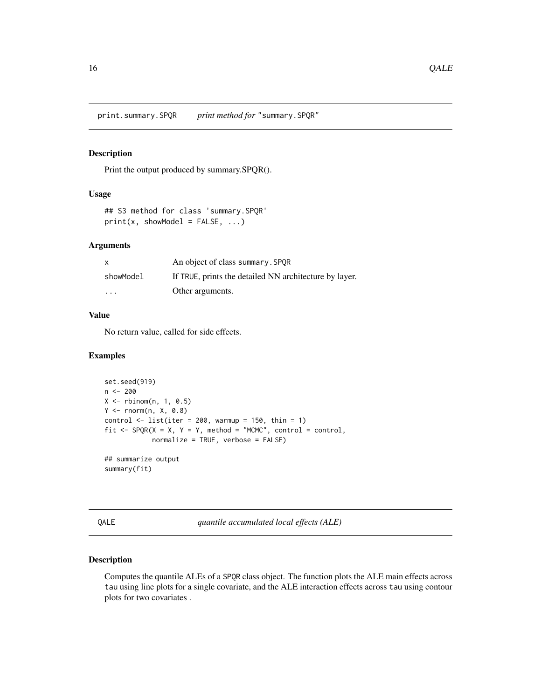#### <span id="page-15-2"></span><span id="page-15-0"></span>Description

Print the output produced by summary.SPQR().

# Usage

```
## S3 method for class 'summary.SPQR'
print(x, showModel = FALSE, ...)
```
#### Arguments

| X                       | An object of class summary. SPOR                       |
|-------------------------|--------------------------------------------------------|
| showModel               | If TRUE, prints the detailed NN architecture by layer. |
| $\cdot$ $\cdot$ $\cdot$ | Other arguments.                                       |

#### Value

No return value, called for side effects.

#### Examples

```
set.seed(919)
n <- 200
X \leftarrow \text{rbinom}(n, 1, 0.5)Y <- rnorm(n, X, 0.8)
control \le list(iter = 200, warmup = 150, thin = 1)
fit \leq SPQR(X = X, Y = Y, method = "MCMC", control = control,
             normalize = TRUE, verbose = FALSE)
## summarize output
```
summary(fit)

<span id="page-15-1"></span>

E *guantile accumulated local effects (ALE)* 

# Description

Computes the quantile ALEs of a SPQR class object. The function plots the ALE main effects across tau using line plots for a single covariate, and the ALE interaction effects across tau using contour plots for two covariates .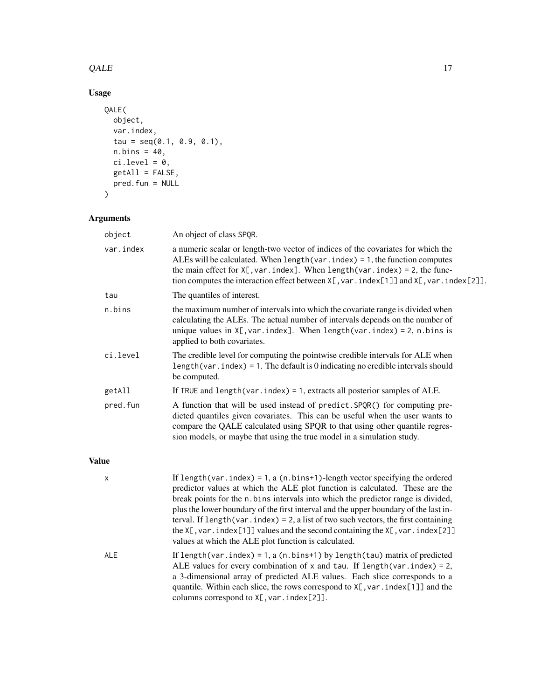#### $QALE$  17

# Usage

```
QALE(
  object,
  var.index,
  tau = seq(0.1, 0.9, 0.1),
  n.bins = 40,ci. level = 0,getAll = FALSE,
  pred.fun = NULL
\mathcal{L}
```
# Arguments

| var.index<br>a numeric scalar or length-two vector of indices of the covariates for which the<br>ALEs will be calculated. When $length(var, index) = 1$ , the function computes<br>the main effect for $X[$ , var. index]. When length(var. index) = 2, the func-<br>tion computes the interaction effect between $X[$ , var. index[1]] and $X[$ , var. index[2]].<br>The quantiles of interest.<br>tau<br>the maximum number of intervals into which the covariate range is divided when<br>n.bins<br>calculating the ALEs. The actual number of intervals depends on the number of<br>unique values in $X$ [, var.index]. When length(var.index) = 2, n.bins is<br>applied to both covariates.<br>ci.level<br>The credible level for computing the pointwise credible intervals for ALE when<br>length (var.index) = 1. The default is $0$ indicating no credible intervals should |  |
|--------------------------------------------------------------------------------------------------------------------------------------------------------------------------------------------------------------------------------------------------------------------------------------------------------------------------------------------------------------------------------------------------------------------------------------------------------------------------------------------------------------------------------------------------------------------------------------------------------------------------------------------------------------------------------------------------------------------------------------------------------------------------------------------------------------------------------------------------------------------------------------|--|
|                                                                                                                                                                                                                                                                                                                                                                                                                                                                                                                                                                                                                                                                                                                                                                                                                                                                                      |  |
|                                                                                                                                                                                                                                                                                                                                                                                                                                                                                                                                                                                                                                                                                                                                                                                                                                                                                      |  |
|                                                                                                                                                                                                                                                                                                                                                                                                                                                                                                                                                                                                                                                                                                                                                                                                                                                                                      |  |
| be computed.                                                                                                                                                                                                                                                                                                                                                                                                                                                                                                                                                                                                                                                                                                                                                                                                                                                                         |  |
| getAll<br>If TRUE and length (var. $index$ ) = 1, extracts all posterior samples of ALE.                                                                                                                                                                                                                                                                                                                                                                                                                                                                                                                                                                                                                                                                                                                                                                                             |  |
| A function that will be used instead of predict. SPQR() for computing pre-<br>pred.fun<br>dicted quantiles given covariates. This can be useful when the user wants to<br>compare the QALE calculated using SPQR to that using other quantile regres-<br>sion models, or maybe that using the true model in a simulation study.                                                                                                                                                                                                                                                                                                                                                                                                                                                                                                                                                      |  |

# Value

| $\mathsf{x}$ | If length (var. index) = 1, a (n. bins+1)-length vector specifying the ordered<br>predictor values at which the ALE plot function is calculated. These are the<br>break points for the n.bins intervals into which the predictor range is divided,<br>plus the lower boundary of the first interval and the upper boundary of the last in-<br>terval. If $length(var, index) = 2$ , a list of two such vectors, the first containing<br>the X[, var. index[1]] values and the second containing the $X$ [, var. index[2]]<br>values at which the ALE plot function is calculated. |
|--------------|-----------------------------------------------------------------------------------------------------------------------------------------------------------------------------------------------------------------------------------------------------------------------------------------------------------------------------------------------------------------------------------------------------------------------------------------------------------------------------------------------------------------------------------------------------------------------------------|
| <b>ALE</b>   | If length (var.index) = 1, a (n.bins+1) by length (tau) matrix of predicted<br>ALE values for every combination of x and tau. If $length(var.index) = 2$ ,<br>a 3-dimensional array of predicted ALE values. Each slice corresponds to a<br>quantile. Within each slice, the rows correspond to $X[\, , var \, . \, \text{index}[1]]$ and the<br>columns correspond to $X$ [, var. index[2]].                                                                                                                                                                                     |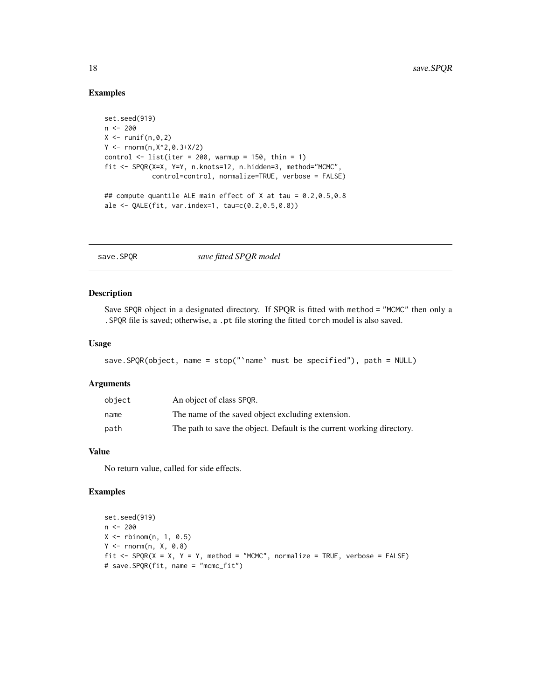#### Examples

```
set.seed(919)
n < -200X \leftarrow runif(n, 0, 2)Y < - rnorm(n, X^2, 0.3+X/2)
control \le list(iter = 200, warmup = 150, thin = 1)
fit <- SPQR(X=X, Y=Y, n.knots=12, n.hidden=3, method="MCMC",
            control=control, normalize=TRUE, verbose = FALSE)
## compute quantile ALE main effect of X at tau = 0.2,0.5,0.8
ale <- QALE(fit, var.index=1, tau=c(0.2,0.5,0.8))
```
save.SPQR *save fitted SPQR model*

#### Description

Save SPQR object in a designated directory. If SPQR is fitted with method = "MCMC" then only a .SPQR file is saved; otherwise, a .pt file storing the fitted torch model is also saved.

#### Usage

```
save.SPQR(object, name = stop("`name` must be specified"), path = NULL)
```
#### Arguments

| object | An object of class SPOR.                                               |
|--------|------------------------------------------------------------------------|
| name   | The name of the saved object excluding extension.                      |
| path   | The path to save the object. Default is the current working directory. |

#### Value

No return value, called for side effects.

# Examples

```
set.seed(919)
n <- 200
X \leftarrow \text{rbinom}(n, 1, 0.5)Y \leftarrow \text{norm}(n, X, 0.8)fit <- SPQR(X = X, Y = Y, method = "MCMC", normalize = TRUE, verbose = FALSE)
# save.SPQR(fit, name = "mcmc_fit")
```
<span id="page-17-0"></span>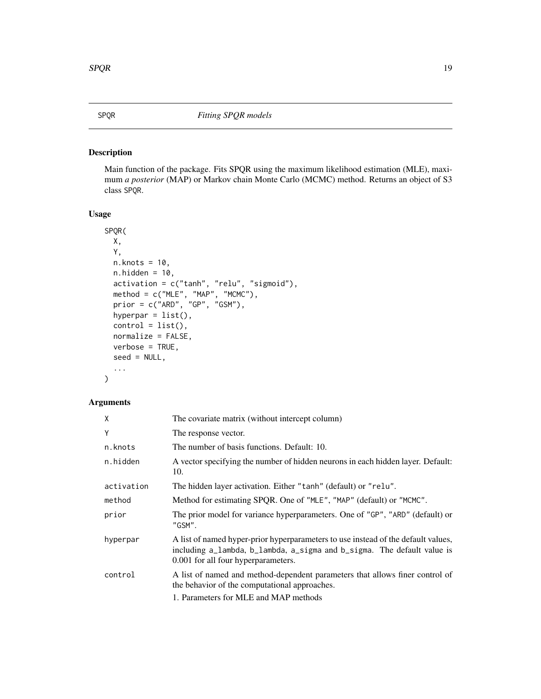<span id="page-18-0"></span>

# Description

Main function of the package. Fits SPQR using the maximum likelihood estimation (MLE), maximum *a posterior* (MAP) or Markov chain Monte Carlo (MCMC) method. Returns an object of S3 class SPQR.

# Usage

```
SPQR(
 X,
  Y,
 n.knots = 10,
 n.hidden = 10,
  activation = c("tanh", "relu", "sigmoid"),
 method = c("MLE", "MAP", "MCMC"),
 prior = c("ARD", "GP", "GSM"),
  hyperpar = list(),
  control = list(),normalize = FALSE,
 verbose = TRUE,
  seed = NULL,
  ...
)
```

| X          | The covariate matrix (without intercept column)                                                                                                                                                     |
|------------|-----------------------------------------------------------------------------------------------------------------------------------------------------------------------------------------------------|
| Y          | The response vector.                                                                                                                                                                                |
| n.knots    | The number of basis functions. Default: 10.                                                                                                                                                         |
| n.hidden   | A vector specifying the number of hidden neurons in each hidden layer. Default:<br>10.                                                                                                              |
| activation | The hidden layer activation. Either "tanh" (default) or "relu".                                                                                                                                     |
| method     | Method for estimating SPQR. One of "MLE", "MAP" (default) or "MCMC".                                                                                                                                |
| prior      | The prior model for variance hyperparameters. One of "GP", "ARD" (default) or<br>"GSM".                                                                                                             |
| hyperpar   | A list of named hyper-prior hyperparameters to use instead of the default values,<br>including a_lambda, b_lambda, a_sigma and b_sigma. The default value is<br>0.001 for all four hyperparameters. |
| control    | A list of named and method-dependent parameters that allows finer control of<br>the behavior of the computational approaches.                                                                       |
|            | 1. Parameters for MLE and MAP methods                                                                                                                                                               |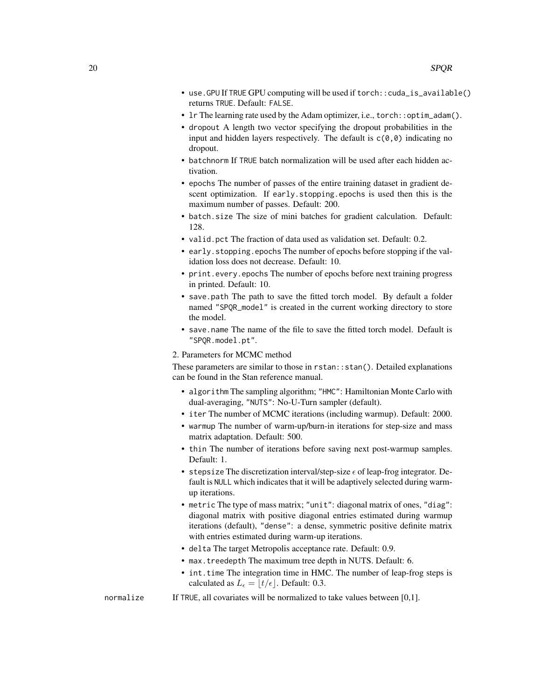- use.GPU If TRUE GPU computing will be used if torch::cuda\_is\_available() returns TRUE. Default: FALSE.
- 1r The learning rate used by the Adam optimizer, i.e., torch:: optim\_adam().
- dropout A length two vector specifying the dropout probabilities in the input and hidden layers respectively. The default is  $c(0,0)$  indicating no dropout.
- batchnorm If TRUE batch normalization will be used after each hidden activation.
- epochs The number of passes of the entire training dataset in gradient descent optimization. If early.stopping.epochs is used then this is the maximum number of passes. Default: 200.
- batch.size The size of mini batches for gradient calculation. Default: 128.
- valid.pct The fraction of data used as validation set. Default: 0.2.
- early.stopping.epochs The number of epochs before stopping if the validation loss does not decrease. Default: 10.
- print.every.epochs The number of epochs before next training progress in printed. Default: 10.
- save.path The path to save the fitted torch model. By default a folder named "SPQR\_model" is created in the current working directory to store the model.
- save.name The name of the file to save the fitted torch model. Default is "SPQR.model.pt".
- 2. Parameters for MCMC method

These parameters are similar to those in rstan::stan(). Detailed explanations can be found in the Stan reference manual.

- algorithm The sampling algorithm; "HMC": Hamiltonian Monte Carlo with dual-averaging, "NUTS": No-U-Turn sampler (default).
- iter The number of MCMC iterations (including warmup). Default: 2000.
- warmup The number of warm-up/burn-in iterations for step-size and mass matrix adaptation. Default: 500.
- thin The number of iterations before saving next post-warmup samples. Default: 1.
- stepsize The discretization interval/step-size  $\epsilon$  of leap-frog integrator. Default is NULL which indicates that it will be adaptively selected during warmup iterations.
- metric The type of mass matrix; "unit": diagonal matrix of ones, "diag": diagonal matrix with positive diagonal entries estimated during warmup iterations (default), "dense": a dense, symmetric positive definite matrix with entries estimated during warm-up iterations.
- delta The target Metropolis acceptance rate. Default: 0.9.
- max.treedepth The maximum tree depth in NUTS. Default: 6.
- int.time The integration time in HMC. The number of leap-frog steps is calculated as  $L_{\epsilon} = |t/\epsilon|$ . Default: 0.3.
- normalize If TRUE, all covariates will be normalized to take values between [0,1].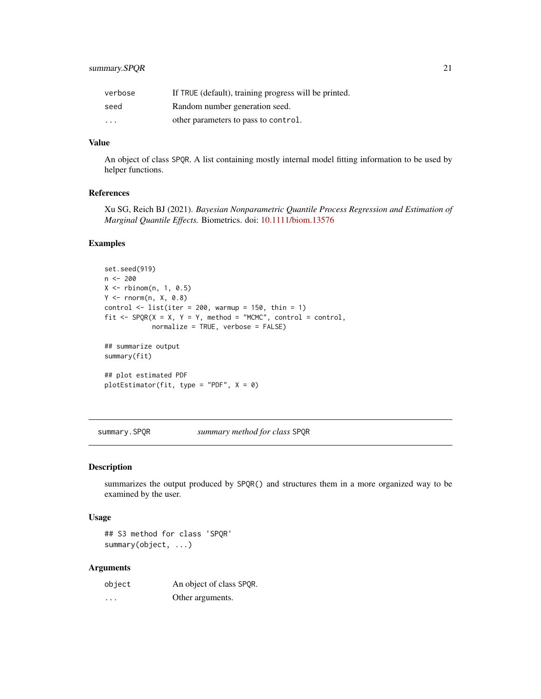# <span id="page-20-0"></span>summary.SPQR 21

| verbose                 | If TRUE (default), training progress will be printed. |
|-------------------------|-------------------------------------------------------|
| seed                    | Random number generation seed.                        |
| $\cdot$ $\cdot$ $\cdot$ | other parameters to pass to control.                  |

#### Value

An object of class SPQR. A list containing mostly internal model fitting information to be used by helper functions.

#### References

Xu SG, Reich BJ (2021). *Bayesian Nonparametric Quantile Process Regression and Estimation of Marginal Quantile Effects.* Biometrics. doi: [10.1111/biom.13576](https://doi.org/10.1111/biom.13576)

#### Examples

```
set.seed(919)
n <- 200
X \leftarrow \text{rbinom}(n, 1, 0.5)Y \leq -rnorm(n, X, \emptyset.8)control \le list(iter = 200, warmup = 150, thin = 1)
fit \leq SPQR(X = X, Y = Y, method = "MCMC", control = control,
            normalize = TRUE, verbose = FALSE)
## summarize output
summary(fit)
## plot estimated PDF
plotEstimator(fit, type = "PDF", X = 0)
```
summary.SPQR *summary method for class* SPQR

#### Description

summarizes the output produced by SPQR() and structures them in a more organized way to be examined by the user.

#### Usage

## S3 method for class 'SPQR' summary(object, ...)

| object | An object of class SPQR. |
|--------|--------------------------|
| .      | Other arguments.         |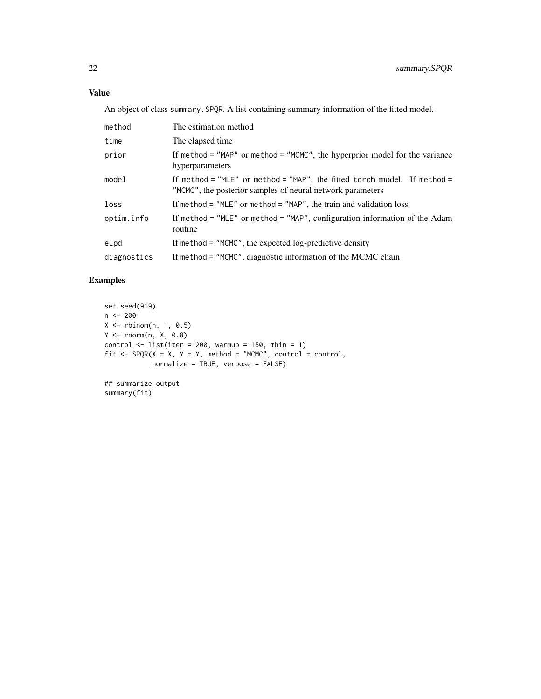An object of class summary.SPQR. A list containing summary information of the fitted model.

| method      | The estimation method                                                                                                                  |
|-------------|----------------------------------------------------------------------------------------------------------------------------------------|
| time        | The elapsed time                                                                                                                       |
| prior       | If method = $"MAP"$ or method = $"MCMC",$ the hyperprior model for the variance<br>hyperparameters                                     |
| model       | If method = "MLE" or method = "MAP", the fitted torch model. If method =<br>"MCMC", the posterior samples of neural network parameters |
| loss        | If method = $"MLE"$ or method = $"MAP"$ , the train and validation loss                                                                |
| optim.info  | If method = $MSE''$ or method = $MAP''$ , configuration information of the Adam<br>routine                                             |
| elpd        | If method = $"MCMC"$ , the expected log-predictive density                                                                             |
| diagnostics | If method = "MCMC", diagnostic information of the MCMC chain                                                                           |

# Examples

```
set.seed(919)
n <- 200
X \leftarrow \text{rbinom}(n, 1, 0.5)Y <- rnorm(n, X, 0.8)
control \leq list(iter = 200, warmup = 150, thin = 1)fit \leq SPQR(X = X, Y = Y, method = "MCMC", control = control,
            normalize = TRUE, verbose = FALSE)
```
## summarize output summary(fit)